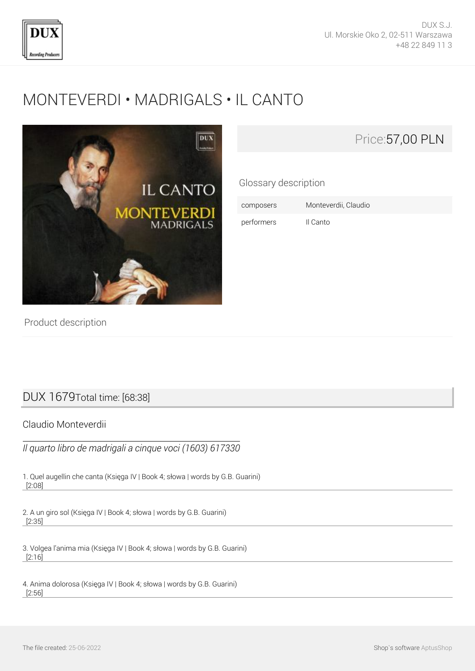

# [MONTEVERDI • MADRIGALS • IL CANTO](http://en.dux.pl/monteverdi-madrigals-il-canto.html)



Glossary description

composers Monteverdii, Claudio performers Il Canto

Product description

## DUX 1679Total time: [68:38]

Claudio Monteverdii

*Il quarto libro de madrigali a cinque voci (1603) 617330*

1. Quel augellin che canta (Księga IV | Book 4; słowa | words by G.B. Guarini) [2:08]

2. A un giro sol (Księga IV | Book 4; słowa | words by G.B. Guarini) [2:35]

3. Volgea l'anima mia (Księga IV | Book 4; słowa | words by G.B. Guarini) [2:16]

4. Anima dolorosa (Księga IV | Book 4; słowa | words by G.B. Guarini) [2:56]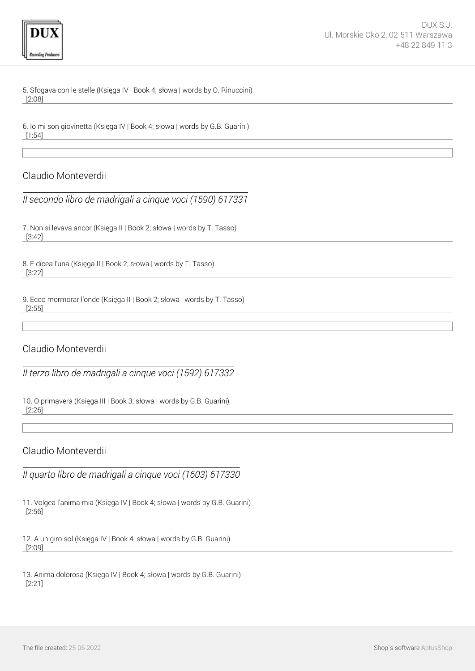

5. Sfogava con le stelle (Księga IV | Book 4; słowa | words by O. Rinuccini) [2:08]

6. Io mi son giovinetta (Księga IV | Book 4; słowa | words by G.B. Guarini) [1:54]

#### Claudio Monteverdii

*Il secondo libro de madrigali a cinque voci (1590) 617331*

7. Non si levava ancor (Księga II | Book 2; słowa | words by T. Tasso) [3:42]

8. E dicea l'una (Księga II | Book 2; słowa | words by T. Tasso) [3:22]

9. Ecco mormorar l'onde (Księga II | Book 2; słowa | words by T. Tasso) [2:55]

#### Claudio Monteverdii

*Il terzo libro de madrigali a cinque voci (1592) 617332*

10. O primavera (Księga III | Book 3; słowa | words by G.B. Guarini) [2:26]

Claudio Monteverdii

*Il quarto libro de madrigali a cinque voci (1603) 617330*

11. Volgea l'anima mia (Księga IV | Book 4; słowa | words by G.B. Guarini) [2:56]

12. A un giro sol (Księga IV | Book 4; słowa | words by G.B. Guarini) [2:09]

13. Anima dolorosa (Księga IV | Book 4; słowa | words by G.B. Guarini) [2:21]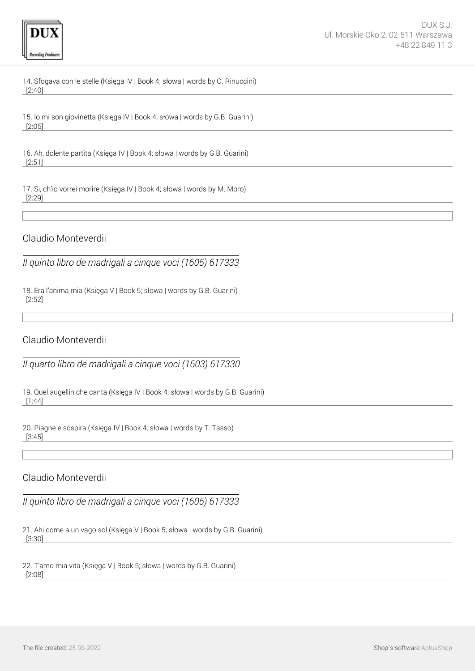

14. Sfogava con le stelle (Księga IV | Book 4; słowa | words by O. Rinuccini) [2:40]

15. Io mi son giovinetta (Księga IV | Book 4; słowa | words by G.B. Guarini) [2:05]

16. Ah, dolente partita (Księga IV | Book 4; słowa | words by G.B. Guarini) [2:51]

17. Si, ch'io vorrei morire (Księga IV | Book 4; słowa | words by M. Moro) [2:29]

Claudio Monteverdii

*Il quinto libro de madrigali a cinque voci (1605) 617333*

18. Era l'anima mia (Księga V | Book 5; słowa | words by G.B. Guarini) [2:52]

Claudio Monteverdii

*Il quarto libro de madrigali a cinque voci (1603) 617330*

19. Quel augellin che canta (Księga IV | Book 4; słowa | words by G.B. Guarini) [1:44]

20. Piagne e sospira (Księga IV | Book 4; słowa | words by T. Tasso) [3:45]

### Claudio Monteverdii

*Il quinto libro de madrigali a cinque voci (1605) 617333*

21. Ahi come a un vago sol (Księga V | Book 5; słowa | words by G.B. Guarini) [3:30]

22. T'amo mia vita (Księga V | Book 5; słowa | words by G.B. Guarini) [2:08]